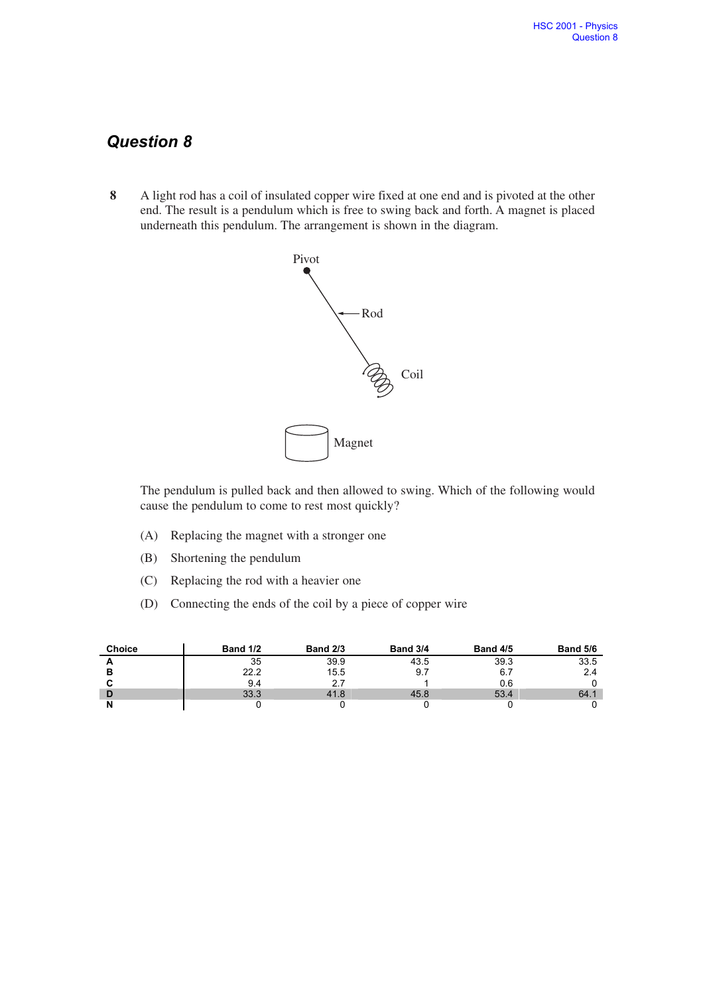## **Question 8**

**8** A light rod has a coil of insulated copper wire fixed at one end and is pivoted at the other end. The result is a pendulum which is free to swing back and forth. A magnet is placed underneath this pendulum. The arrangement is shown in the diagram.



The pendulum is pulled back and then allowed to swing. Which of the following would cause the pendulum to come to rest most quickly?

- (A) Replacing the magnet with a stronger one
- (B) Shortening the pendulum
- (C) Replacing the rod with a heavier one
- (D) Connecting the ends of the coil by a piece of copper wire

| <b>Choice</b> | <b>Band 1/2</b> | <b>Band 2/3</b> | <b>Band 3/4</b> | <b>Band 4/5</b> | <b>Band 5/6</b> |
|---------------|-----------------|-----------------|-----------------|-----------------|-----------------|
| <u>_</u>      | 35              | 39.9            | 43.5            | 39.3            | 33.5            |
|               | 22.2            | 15.5            |                 | 6.7             |                 |
|               | 9.4             |                 |                 | 0.6             |                 |
| D             | 33.3            | 41.8            | 45.8            | 53.4            | 64.1            |
|               |                 |                 |                 |                 |                 |